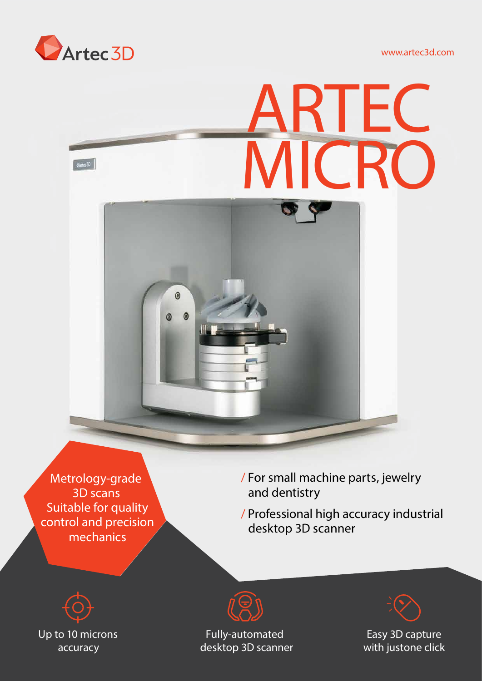

www.artec3d.com



Metrology-grade 3D scans Suitable for quality control and precision mechanics

/ For small machine parts, jewelry and dentistry

/ Professional high accuracy industrial desktop 3D scanner





*Fully-automated desktop 3D scanner*



*Easy 3D capture* with justone click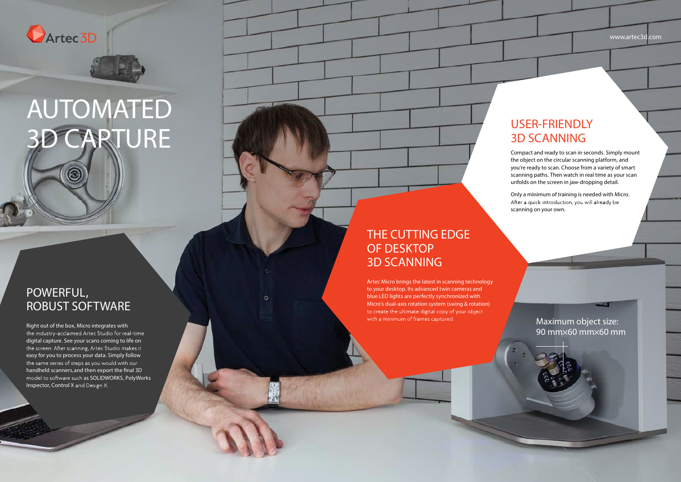

## AUTOMATED 3D CAPTURE

Right out of the box, Micro integrates with the industry-acclaimed Artec Studio for real-time digital capture. See your scans coming to life on the screen. After scanning, Artec Studio makes it easy for you to process your data. Simply follow the same series of steps as you would with our handheld scanners, and then export the final 3D model to software such as SOLIDWORKS, PolyWorks Inspector, Control X and Design X.

## POWERFUL, ROBUST SOFTWARE

Artec Micro brings the latest in scanning technology to your desktop. Its advanced twin cameras and blue LED lights are perfectly synchronized with Micro's dual-axis rotation system (swing & rotation) to create the ultimate digital copy of your object with a minimum of frames captured.

## THE CUTTING EDGE OF DESKTOP 3D SCANNING

## USER-FRIENDLY 3D SCANNING

Compact and ready to scan in seconds. Simply mount the object on the circular scanning platform, and you're ready to scan. Choose from a variety of smart scanning paths. Then watch in real time as your scan unfolds on the screen in jaw-dropping detail.

Only a minimum of training is needed with Micro. After a quick introduction, you will already be scanning on your own.

www.artec3d.com

Maximum object size: 90 mm×60 mm×60 mm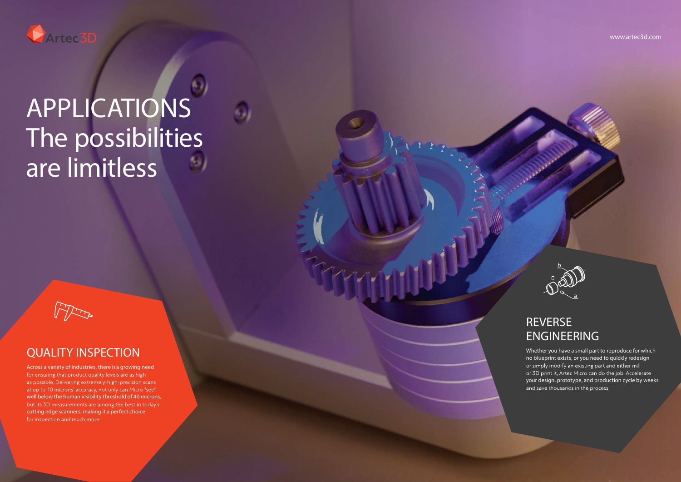## QUALITY INSPECTION

Across a variety of industries, there is a growing need for ensuring that product quality levels are as high as possible. Delivering extremely-high-precision scans at up to 10 microns' accuracy, not only can Micro "see" well below the human visibility threshold of 40 microns, but its 3D measurements are among the best in today's cutting edge scanners, making it a perfect choice for inspection and much more.

Whether you have a small part to reproduce for which no blueprint exists, or you need to quickly redesign or simply modify an existing part and either mill or 3D print it, Artec Micro can do the job. Accelerate your design, prototype, and production cycle by weeks and save thousands in the process.

## REVERSE ENGINEERING

#### www.artec3d.com





# APPLICATIONS The possibilities are limitless

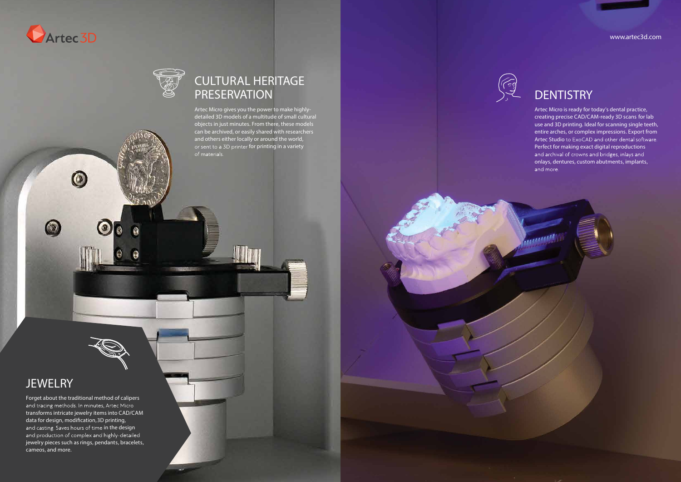

 $\circ$ 

 $\bullet$ 

## **DENTISTRY**

Artec Micro gives you the power to make highlydetailed 3D models of a multitude of small cultural objects in just minutes. From there, these models can be archived, or easily shared with researchers and others either locally or around the world, or sent to a 3D printer for printing in a variety of materials.

## **JEWELRY**

 $\circledcirc$ 

## CULTURAL HERITAGE PRESERVATION

Artec Micro is ready for today's dental practice, creating precise CAD/CAM-ready 3D scans for lab use and 3D printing. Ideal for scanning single teeth, entire arches, or complex impressions. Export from Artec Studio to ExoCAD and other dental software. Perfect for making exact digital reproductions and archival of crowns and bridges, inlays and onlays, dentures, custom abutments, implants, and more.

Forget about the traditional method of calipers and tracing methods. In minutes, Artec Micro transforms intricate jewelry items into CAD/CAM data for design, modification, 3D printing, and casting. Saves hours of time in the design and production of complex and highly-detailed jewelry pieces such as rings, pendants, bracelets, cameos, and more.